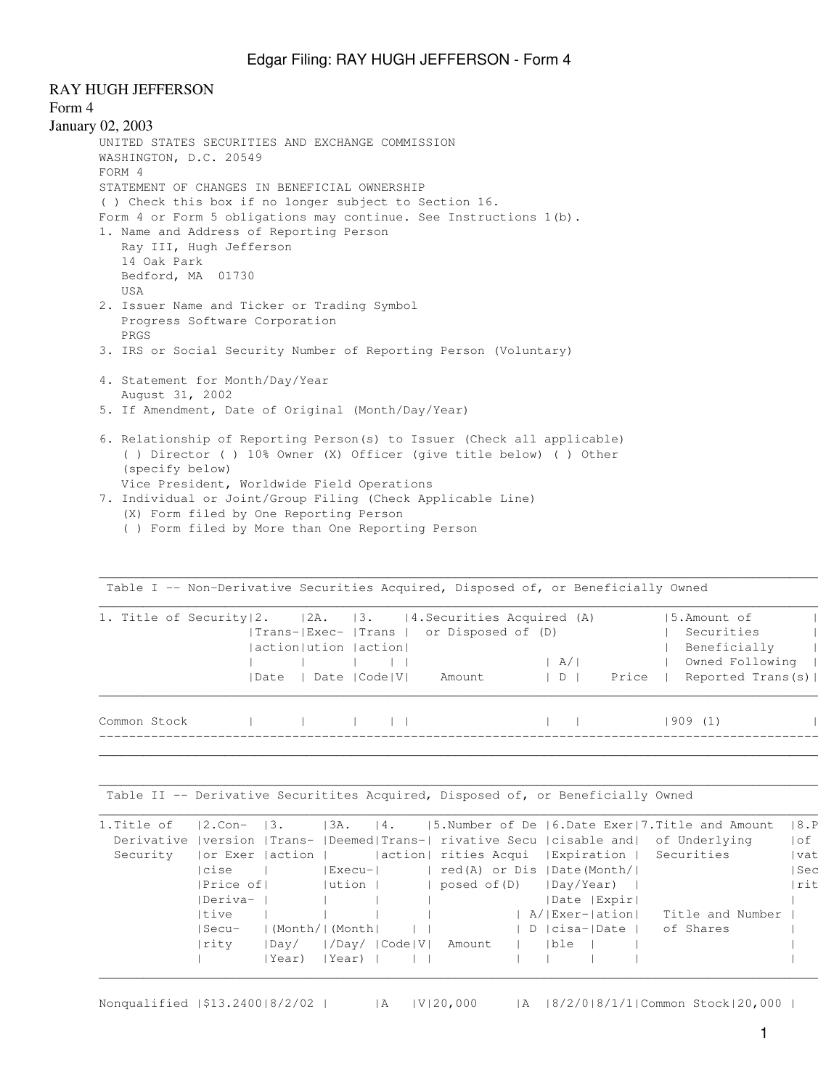## RAY HUGH JEFFERSON

## Form 4

```
January 02, 2003
UNITED STATES SECURITIES AND EXCHANGE COMMISSION
WASHINGTON, D.C. 20549
FORM 4
STATEMENT OF CHANGES IN BENEFICIAL OWNERSHIP
 ( ) Check this box if no longer subject to Section 16.
Form 4 or Form 5 obligations may continue. See Instructions 1(b).
1. Name and Address of Reporting Person
    Ray III, Hugh Jefferson
    14 Oak Park
    Bedford, MA 01730
    USA
2. Issuer Name and Ticker or Trading Symbol
    Progress Software Corporation
    PRGS
3. IRS or Social Security Number of Reporting Person (Voluntary)
4. Statement for Month/Day/Year
    August 31, 2002
5. If Amendment, Date of Original (Month/Day/Year)
6. Relationship of Reporting Person(s) to Issuer (Check all applicable)
     ( ) Director ( ) 10% Owner (X) Officer (give title below) ( ) Other
     (specify below)
    Vice President, Worldwide Field Operations
```
- 7. Individual or Joint/Group Filing (Check Applicable Line) (X) Form filed by One Reporting Person
	- ( ) Form filed by More than One Reporting Person

| 1. Title of Security 2. 2A. 3. 4. Securities Acquired (A) |  | action   ution   action | Trans- Exec-  Trans   or Disposed of (D) | A /               |       |         | 15.Amount of<br>Securities<br>Beneficially<br>Owned Following |
|-----------------------------------------------------------|--|-------------------------|------------------------------------------|-------------------|-------|---------|---------------------------------------------------------------|
| Common Stock                                              |  | Date   Date   Code   V  | Amount                                   | $\vert$ D $\vert$ | Price | 909 (1) | Reported Trans(s)                                             |

\_\_\_\_\_\_\_\_\_\_\_\_\_\_\_\_\_\_\_\_\_\_\_\_\_\_\_\_\_\_\_\_\_\_\_\_\_\_\_\_\_\_\_\_\_\_\_\_\_\_\_\_\_\_\_\_\_\_\_\_\_\_\_\_\_\_\_\_\_\_\_\_\_\_\_\_\_\_\_\_\_\_\_\_\_\_\_\_\_\_\_\_\_\_\_\_\_\_\_\_\_\_\_\_\_\_\_\_\_\_\_\_\_\_\_\_\_\_\_\_\_\_\_\_\_\_\_\_\_\_\_

 $\mathcal{L}_\mathcal{L} = \{ \mathcal{L}_\mathcal{L} = \{ \mathcal{L}_\mathcal{L} = \{ \mathcal{L}_\mathcal{L} = \{ \mathcal{L}_\mathcal{L} = \{ \mathcal{L}_\mathcal{L} = \{ \mathcal{L}_\mathcal{L} = \{ \mathcal{L}_\mathcal{L} = \{ \mathcal{L}_\mathcal{L} = \{ \mathcal{L}_\mathcal{L} = \{ \mathcal{L}_\mathcal{L} = \{ \mathcal{L}_\mathcal{L} = \{ \mathcal{L}_\mathcal{L} = \{ \mathcal{L}_\mathcal{L} = \{ \mathcal{L}_\mathcal{$ 

Table I -- Non-Derivative Securities Acquired, Disposed of, or Beneficially Owned |

Table II -- Derivative Securitites Acquired, Disposed of, or Beneficially Owned

| 1.Title of | $ 2.\text{Con-}$ $ 3.$ |                 | 13A.   | 14.           |                            |  |     |                | $ 5.$ Number of De $ 6.$ Date Exer   7. Title and Amount                                     | 8.P   |
|------------|------------------------|-----------------|--------|---------------|----------------------------|--|-----|----------------|----------------------------------------------------------------------------------------------|-------|
|            |                        |                 |        |               |                            |  |     |                | Derivative   version   Trans-   Deemed  Trans-   rivative Secu   cisable and   of Underlying | l of  |
| Security   | or Exer (action )      |                 |        |               | action  rities Acqui       |  |     |                | Expiration   Securities                                                                      | vat   |
|            | cise                   |                 | Execu- |               | red(A) or Dis  Date(Month/ |  |     |                |                                                                                              | l Sec |
|            | Price of               |                 | ution  |               | $ $ posed of $(D)$         |  |     | Day/Year)      |                                                                                              | Irit  |
|            | Deriva-                |                 |        |               |                            |  |     | Date   Expir   |                                                                                              |       |
|            | Itive                  |                 |        |               |                            |  |     | A/ Exer- ation | Title and Number                                                                             |       |
|            | Secu-                  | (Month/  (Month |        |               |                            |  |     | D  cisa- Date  | of Shares                                                                                    |       |
|            | rity                   | $ $ Dav $/$     |        | /Day/  Code V | Amount                     |  | ble |                |                                                                                              |       |
|            |                        | lYear)          | Year)  |               |                            |  |     |                |                                                                                              |       |
|            |                        |                 |        |               |                            |  |     |                |                                                                                              |       |